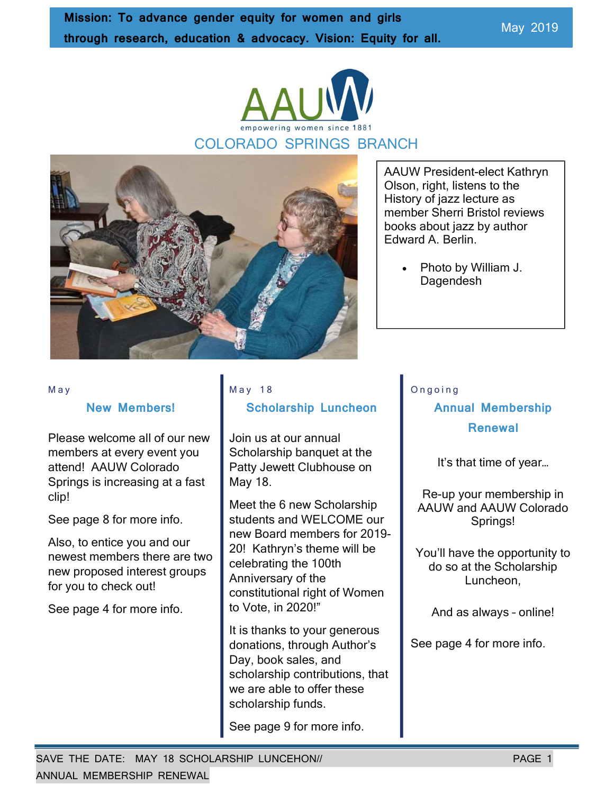May 2019





AAUW President-elect Kathryn Olson, right, listens to the History of jazz lecture as member Sherri Bristol reviews books about jazz by author Edward A. Berlin.

 Photo by William J. Dagendesh

#### M a y

#### New Members!

Please welcome all of our new members at every event you attend! AAUW Colorado Springs is increasing at a fast clip!

See page 8 for more info.

Also, to entice you and our newest members there are two new proposed interest groups for you to check out!

See page 4 for more info.

#### M a y 1 8

#### Scholarship Luncheon

Join us at our annual Scholarship banquet at the Patty Jewett Clubhouse on May 18.

Meet the 6 new Scholarship students and WELCOME our new Board members for 2019- 20! Kathryn's theme will be celebrating the 100th Anniversary of the constitutional right of Women to Vote, in 2020!"

It is thanks to your generous donations, through Author's Day, book sales, and scholarship contributions, that we are able to offer these scholarship funds.

See page 9 for more info.

#### O n g o i n g

### Annual Membership Renewal

It's that time of year…

Re-up your membership in AAUW and AAUW Colorado Springs!

You'll have the opportunity to do so at the Scholarship Luncheon,

And as always – online!

See page 4 for more info.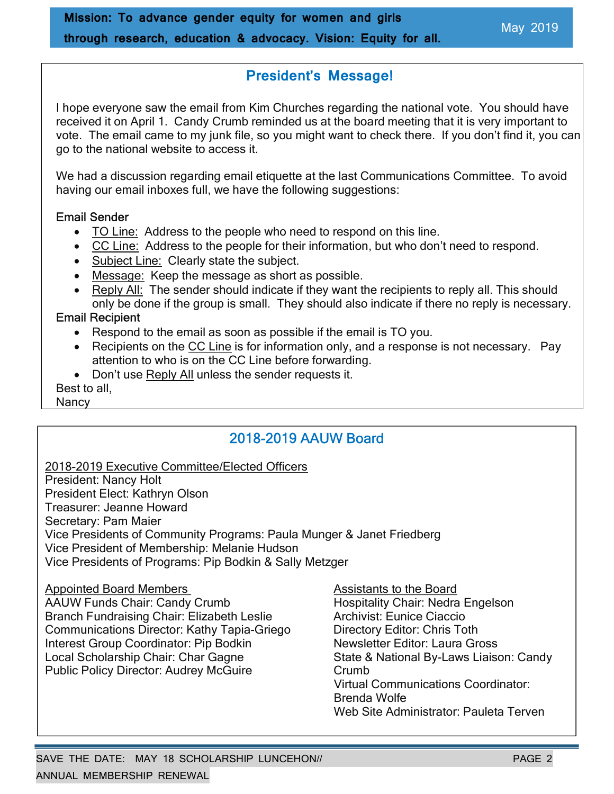### President's Message!

I hope everyone saw the email from Kim Churches regarding the national vote. You should have received it on April 1. Candy Crumb reminded us at the board meeting that it is very important to vote. The email came to my junk file, so you might want to check there. If you don't find it, you can go to the national website to access it.

We had a discussion regarding email etiquette at the last Communications Committee. To avoid having our email inboxes full, we have the following suggestions:

#### Email Sender

- TO Line: Address to the people who need to respond on this line.
- CC Line: Address to the people for their information, but who don't need to respond.
- Subject Line: Clearly state the subject.
- Message: Keep the message as short as possible.
- Reply All: The sender should indicate if they want the recipients to reply all. This should only be done if the group is small. They should also indicate if there no reply is necessary.

#### Email Recipient

- Respond to the email as soon as possible if the email is TO you.
- Recipients on the CC Line is for information only, and a response is not necessary. Pay attention to who is on the CC Line before forwarding.
- Don't use Reply All unless the sender requests it.

Best to all,

Nancy

### 2018-2019 AAUW Board

2018-2019 Executive Committee/Elected Officers President: Nancy Holt President Elect: Kathryn Olson Treasurer: Jeanne Howard Secretary: Pam Maier Vice Presidents of Community Programs: Paula Munger & Janet Friedberg Vice President of Membership: Melanie Hudson Vice Presidents of Programs: Pip Bodkin & Sally Metzger

Appointed Board Members Assistants to the Board

AAUW Funds Chair: Candy Crumb Hospitality Chair: Nedra Engelson Branch Fundraising Chair: Elizabeth Leslie **Archivist: Eunice Ciaccio**<br>Communications Director: Kathy Tapia-Griego **Bilgeric Directory Editor: Chris Toth** Communications Director: Kathy Tapia-Griego Interest Group Coordinator: Pip Bodkin Mewsletter Editor: Laura Gross<br>
Local Scholarship Chair: Char Gagne State & National By-Laws Liaise Public Policy Director: Audrey McGuire Crumb

State & National By-Laws Liaison: Candy Virtual Communications Coordinator: Brenda Wolfe Web Site Administrator: Pauleta Terven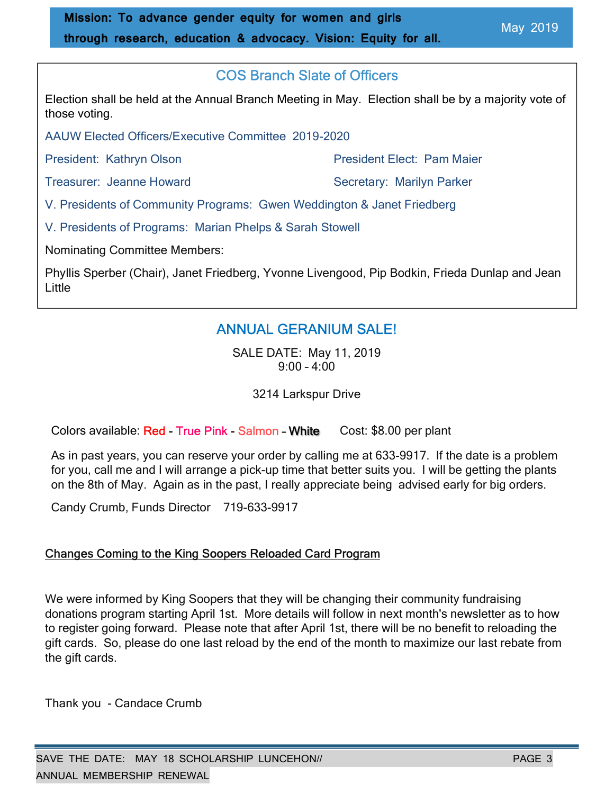### COS Branch Slate of Officers

Election shall be held at the Annual Branch Meeting in May. Election shall be by a majority vote of those voting.

AAUW Elected Officers/Executive Committee 2019-2020

President: Kathryn Olson **President Elect: Pam Maier** 

Treasurer: Jeanne Howard Secretary: Marilyn Parker

V. Presidents of Community Programs: Gwen Weddington & Janet Friedberg

V. Presidents of Programs: Marian Phelps & Sarah Stowell

Nominating Committee Members:

Phyllis Sperber (Chair), Janet Friedberg, Yvonne Livengood, Pip Bodkin, Frieda Dunlap and Jean Little

### ANNUAL GERANIUM SALE!

SALE DATE: May 11, 2019 9:00 – 4:00

3214 Larkspur Drive

Colors available: Red - True Pink - Salmon - White Cost: \$8.00 per plant

As in past years, you can reserve your order by calling me at 633-9917. If the date is a problem for you, call me and I will arrange a pick-up time that better suits you. I will be getting the plants on the 8th of May. Again as in the past, I really appreciate being advised early for big orders.

Candy Crumb, Funds Director 719-633-9917

### Changes Coming to the King Soopers Reloaded Card Program

We were informed by King Soopers that they will be changing their community fundraising donations program starting April 1st. More details will follow in next month's newsletter as to how to register going forward. Please note that after April 1st, there will be no benefit to reloading the gift cards. So, please do one last reload by the end of the month to maximize our last rebate from the gift cards.

Thank you - Candace Crumb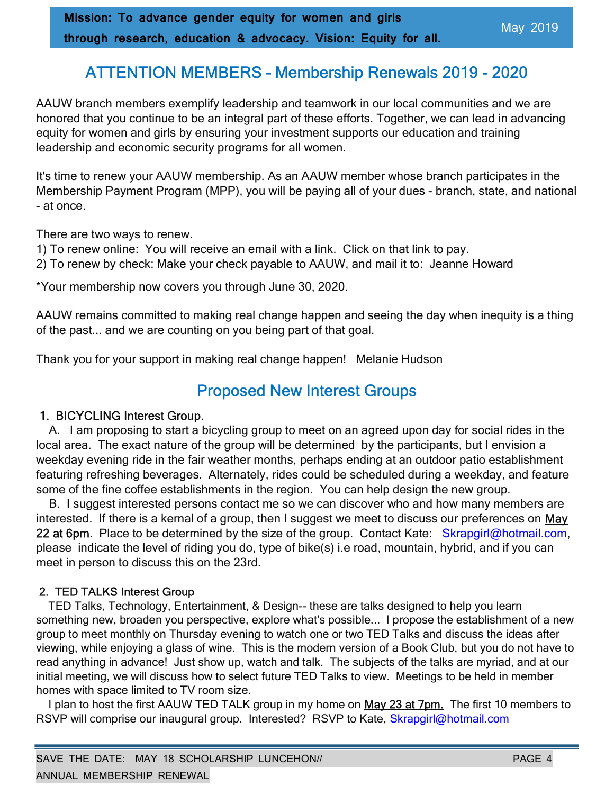### ATTENTION MEMBERS – Membership Renewals 2019 - 2020

AAUW branch members exemplify leadership and teamwork in our local communities and we are honored that you continue to be an integral part of these efforts. Together, we can lead in advancing equity for women and girls by ensuring your investment supports our education and training leadership and economic security programs for all women.

It's time to renew your AAUW membership. As an AAUW member whose branch participates in the Membership Payment Program (MPP), you will be paying all of your dues - branch, state, and national - at once.

There are two ways to renew.

1) To renew online: You will receive an email with a link. Click on that link to pay.

2) To renew by check: Make your check payable to AAUW, and mail it to: Jeanne Howard

\*Your membership now covers you through June 30, 2020.

AAUW remains committed to making real change happen and seeing the day when inequity is a thing of the past... and we are counting on you being part of that goal.

Thank you for your support in making real change happen! Melanie Hudson

### Proposed New Interest Groups

#### 1. BICYCLING Interest Group.

 A. I am proposing to start a bicycling group to meet on an agreed upon day for social rides in the local area. The exact nature of the group will be determined by the participants, but I envision a weekday evening ride in the fair weather months, perhaps ending at an outdoor patio establishment featuring refreshing beverages. Alternately, rides could be scheduled during a weekday, and feature some of the fine coffee establishments in the region. You can help design the new group.

 B. I suggest interested persons contact me so we can discover who and how many members are interested. If there is a kernal of a group, then I suggest we meet to discuss our preferences on May 22 at 6pm. Place to be determined by the size of the group. Contact Kate: Skrapgirl@hotmail.com, please indicate the level of riding you do, type of bike(s) i.e road, mountain, hybrid, and if you can meet in person to discuss this on the 23rd.

#### 2. TED TALKS Interest Group

 TED Talks, Technology, Entertainment, & Design-- these are talks designed to help you learn something new, broaden you perspective, explore what's possible... I propose the establishment of a new group to meet monthly on Thursday evening to watch one or two TED Talks and discuss the ideas after viewing, while enjoying a glass of wine. This is the modern version of a Book Club, but you do not have to read anything in advance! Just show up, watch and talk. The subjects of the talks are myriad, and at our initial meeting, we will discuss how to select future TED Talks to view. Meetings to be held in member homes with space limited to TV room size.

I plan to host the first AAUW TED TALK group in my home on May 23 at 7pm. The first 10 members to RSVP will comprise our inaugural group. Interested? RSVP to Kate, Skrapgirl@hotmail.com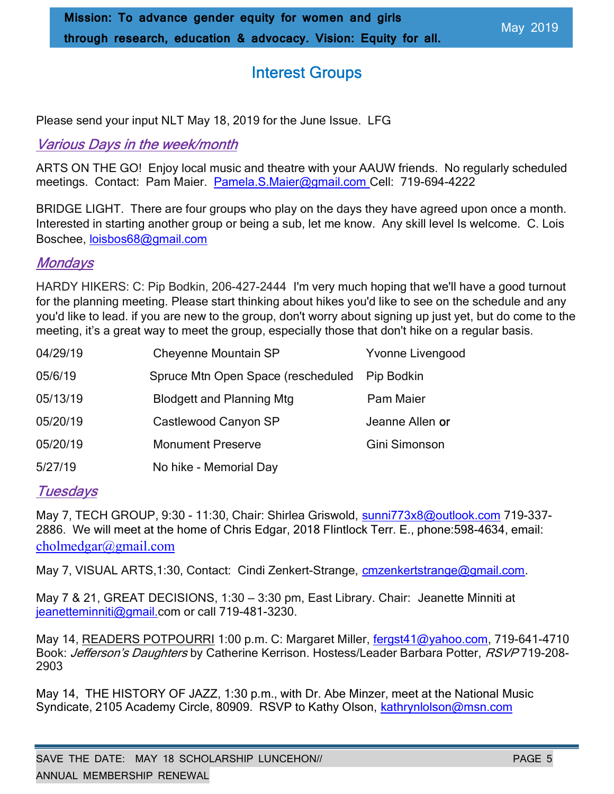### Interest Groups

Please send your input NLT May 18, 2019 for the June Issue. LFG

### Various Days in the week/month

ARTS ON THE GO! Enjoy local music and theatre with your AAUW friends. No regularly scheduled meetings. Contact: Pam Maier. Pamela.S.Maier@gmail.com Cell: 719-694-4222

BRIDGE LIGHT. There are four groups who play on the days they have agreed upon once a month. Interested in starting another group or being a sub, let me know. Any skill level Is welcome. C. Lois Boschee, loisbos68@gmail.com

### **Mondays**

HARDY HIKERS: C: Pip Bodkin, 206-427-2444 I'm very much hoping that we'll have a good turnout for the planning meeting. Please start thinking about hikes you'd like to see on the schedule and any you'd like to lead. if you are new to the group, don't worry about signing up just yet, but do come to the meeting, it's a great way to meet the group, especially those that don't hike on a regular basis.

| 04/29/19 | <b>Cheyenne Mountain SP</b>                      | <b>Yvonne Livengood</b> |  |
|----------|--------------------------------------------------|-------------------------|--|
| 05/6/19  | Spruce Mtn Open Space (rescheduled<br>Pip Bodkin |                         |  |
| 05/13/19 | <b>Blodgett and Planning Mtg</b>                 | Pam Maier               |  |
| 05/20/19 | Castlewood Canyon SP                             | Jeanne Allen or         |  |
| 05/20/19 | <b>Monument Preserve</b>                         | Gini Simonson           |  |
| 5/27/19  | No hike - Memorial Day                           |                         |  |

### **Tuesdays**

May 7, TECH GROUP, 9:30 - 11:30, Chair: Shirlea Griswold, sunni773x8@outlook.com 719-337-2886. We will meet at the home of Chris Edgar, 2018 Flintlock Terr. E., phone:598-4634, email: cholmedgar@gmail.com

May 7, VISUAL ARTS, 1:30, Contact: Cindi Zenkert-Strange, cmzenkertstrange@gmail.com.

May 7 & 21, GREAT DECISIONS, 1:30 – 3:30 pm, East Library. Chair: Jeanette Minniti at jeanetteminniti@gmail.com or call 719-481-3230.

May 14, READERS POTPOURRI 1:00 p.m. C: Margaret Miller, fergst41@yahoo.com, 719-641-4710 Book: Jefferson's Daughters by Catherine Kerrison. Hostess/Leader Barbara Potter, RSVP719-208-2903

May 14, THE HISTORY OF JAZZ, 1:30 p.m., with Dr. Abe Minzer, meet at the National Music Syndicate, 2105 Academy Circle, 80909. RSVP to Kathy Olson, kathrynlolson@msn.com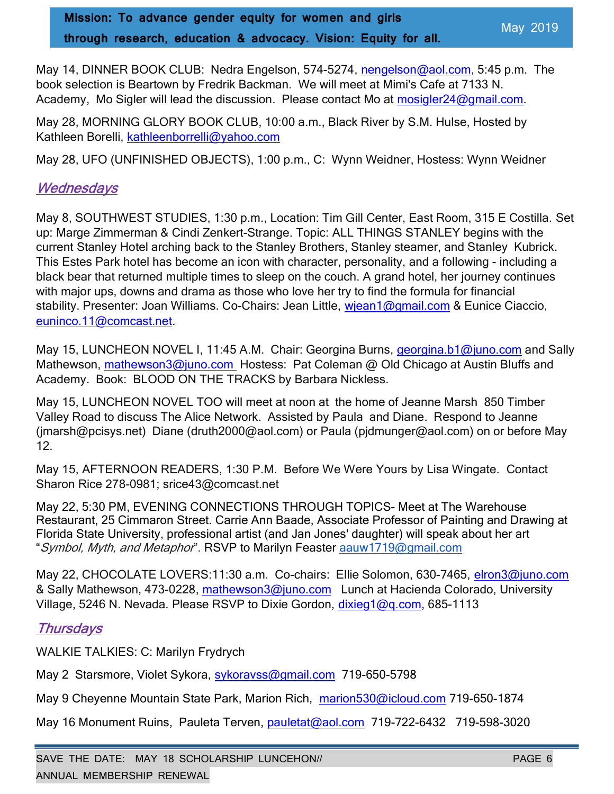May 14, DINNER BOOK CLUB: Nedra Engelson, 574-5274, nengelson@aol.com, 5:45 p.m. The book selection is Beartown by Fredrik Backman. We will meet at Mimi's Cafe at 7133 N. Academy, Mo Sigler will lead the discussion. Please contact Mo at mosigler24@gmail.com.

May 28, MORNING GLORY BOOK CLUB, 10:00 a.m., Black River by S.M. Hulse, Hosted by Kathleen Borelli, kathleenborrelli@yahoo.com

May 28, UFO (UNFINISHED OBJECTS), 1:00 p.m., C: Wynn Weidner, Hostess: Wynn Weidner

### **Wednesdays**

May 8, SOUTHWEST STUDIES, 1:30 p.m., Location: Tim Gill Center, East Room, 315 E Costilla. Set up: Marge Zimmerman & Cindi Zenkert-Strange. Topic: ALL THINGS STANLEY begins with the current Stanley Hotel arching back to the Stanley Brothers, Stanley steamer, and Stanley Kubrick. This Estes Park hotel has become an icon with character, personality, and a following - including a black bear that returned multiple times to sleep on the couch. A grand hotel, her journey continues with major ups, downs and drama as those who love her try to find the formula for financial stability. Presenter: Joan Williams. Co-Chairs: Jean Little, wiean1@gmail.com & Eunice Ciaccio, euninco.11@comcast.net.

May 15, LUNCHEON NOVEL I, 11:45 A.M. Chair: Georgina Burns, *georgina.b1@juno.com* and Sally Mathewson, mathewson3@juno.com Hostess: Pat Coleman @ Old Chicago at Austin Bluffs and Academy. Book: BLOOD ON THE TRACKS by Barbara Nickless.

May 15, LUNCHEON NOVEL TOO will meet at noon at the home of Jeanne Marsh 850 Timber Valley Road to discuss The Alice Network. Assisted by Paula and Diane. Respond to Jeanne (jmarsh@pcisys.net) Diane (druth2000@aol.com) or Paula (pjdmunger@aol.com) on or before May 12.

May 15, AFTERNOON READERS, 1:30 P.M. Before We Were Yours by Lisa Wingate. Contact Sharon Rice 278-0981; srice43@comcast.net

May 22, 5:30 PM, EVENING CONNECTIONS THROUGH TOPICS- Meet at The Warehouse Restaurant, 25 Cimmaron Street. Carrie Ann Baade, Associate Professor of Painting and Drawing at Florida State University, professional artist (and Jan Jones' daughter) will speak about her art "Symbol, Myth, and Metaphor". RSVP to Marilyn Feaster aauw1719@gmail.com

May 22, CHOCOLATE LOVERS:11:30 a.m. Co-chairs: Ellie Solomon, 630-7465, elron3@juno.com & Sally Mathewson, 473-0228, mathewson3@juno.com Lunch at Hacienda Colorado, University Village, 5246 N. Nevada. Please RSVP to Dixie Gordon, dixieg1@q.com, 685-1113

### **Thursdays**

WALKIE TALKIES: C: Marilyn Frydrych

May 2 Starsmore, Violet Sykora, sykoravss@gmail.com 719-650-5798

May 9 Cheyenne Mountain State Park, Marion Rich, marion 530@icloud.com 719-650-1874

May 16 Monument Ruins, Pauleta Terven, pauletat@aol.com 719-722-6432 719-598-3020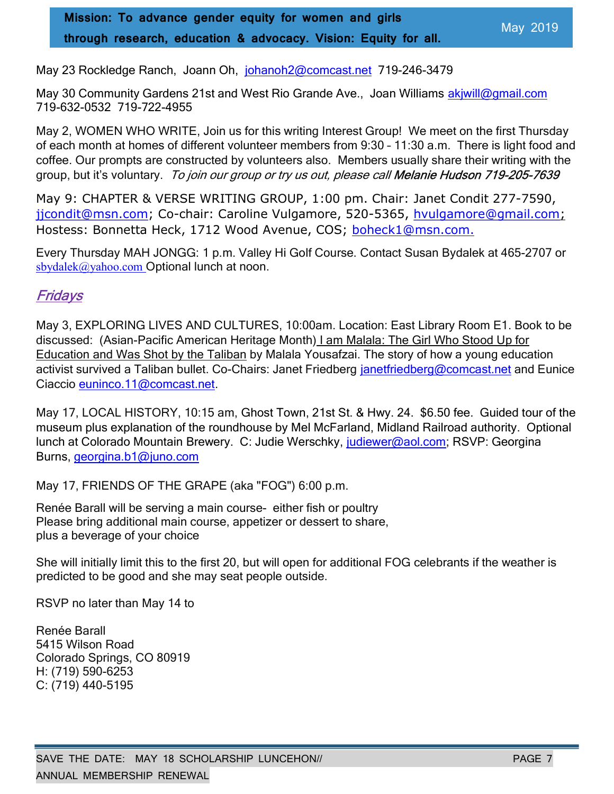May 23 Rockledge Ranch, Joann Oh, johanoh 2@comcast.net 719-246-3479

May 30 Community Gardens 21st and West Rio Grande Ave., Joan Williams akjwill@gmail.com 719-632-0532 719-722-4955

May 2, WOMEN WHO WRITE, Join us for this writing Interest Group! We meet on the first Thursday of each month at homes of different volunteer members from 9:30 – 11:30 a.m. There is light food and coffee. Our prompts are constructed by volunteers also. Members usually share their writing with the group, but it's voluntary. To join our group or try us out, please call Melanie Hudson 719-205-7639

May 9: CHAPTER & VERSE WRITING GROUP, 1:00 pm. Chair: Janet Condit 277-7590, jicondit@msn.com; Co-chair: Caroline Vulgamore, 520-5365, hvulgamore@gmail.com; Hostess: Bonnetta Heck, 1712 Wood Avenue, COS; boheck1@msn.com.

Every Thursday MAH JONGG: 1 p.m. Valley Hi Golf Course. Contact Susan Bydalek at 465-2707 or sbydalek@yahoo.com Optional lunch at noon.

### Fridays

May 3, EXPLORING LIVES AND CULTURES, 10:00am. Location: East Library Room E1. Book to be discussed: (Asian-Pacific American Heritage Month) I am Malala: The Girl Who Stood Up for Education and Was Shot by the Taliban by Malala Yousafzai. The story of how a young education activist survived a Taliban bullet. Co-Chairs: Janet Friedberg janetfriedberg@comcast.net and Eunice Ciaccio euninco.11@comcast.net.

May 17, LOCAL HISTORY, 10:15 am, Ghost Town, 21st St. & Hwy. 24. \$6.50 fee. Guided tour of the museum plus explanation of the roundhouse by Mel McFarland, Midland Railroad authority. Optional lunch at Colorado Mountain Brewery. C: Judie Werschky, judiewer@aol.com; RSVP: Georgina Burns, georgina.b1@juno.com

May 17, FRIENDS OF THE GRAPE (aka "FOG") 6:00 p.m.

Renée Barall will be serving a main course- either fish or poultry Please bring additional main course, appetizer or dessert to share, plus a beverage of your choice

She will initially limit this to the first 20, but will open for additional FOG celebrants if the weather is predicted to be good and she may seat people outside.

RSVP no later than May 14 to

Renée Barall 5415 Wilson Road Colorado Springs, CO 80919 H: (719) 590-6253 C: (719) 440-5195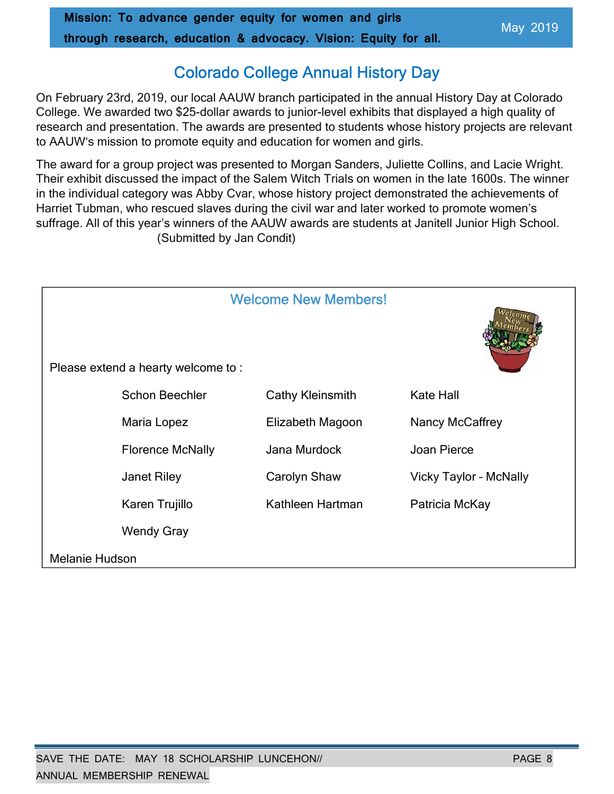### Colorado College Annual History Day

On February 23rd, 2019, our local AAUW branch participated in the annual History Day at Colorado College. We awarded two \$25-dollar awards to junior-level exhibits that displayed a high quality of research and presentation. The awards are presented to students whose history projects are relevant to AAUW's mission to promote equity and education for women and girls.

The award for a group project was presented to Morgan Sanders, Juliette Collins, and Lacie Wright. Their exhibit discussed the impact of the Salem Witch Trials on women in the late 1600s. The winner in the individual category was Abby Cvar, whose history project demonstrated the achievements of Harriet Tubman, who rescued slaves during the civil war and later worked to promote women's suffrage. All of this year's winners of the AAUW awards are students at Janitell Junior High School. (Submitted by Jan Condit)

| <b>Welcome New Members!</b><br>Please extend a hearty welcome to: |                         |                  |                               |
|-------------------------------------------------------------------|-------------------------|------------------|-------------------------------|
|                                                                   | <b>Schon Beechler</b>   | Cathy Kleinsmith | <b>Kate Hall</b>              |
|                                                                   | Maria Lopez             | Elizabeth Magoon | Nancy McCaffrey               |
|                                                                   | <b>Florence McNally</b> | Jana Murdock     | Joan Pierce                   |
|                                                                   | <b>Janet Riley</b>      | Carolyn Shaw     | <b>Vicky Taylor - McNally</b> |
|                                                                   | Karen Trujillo          | Kathleen Hartman | Patricia McKay                |
|                                                                   | <b>Wendy Gray</b>       |                  |                               |
| <b>Melanie Hudson</b>                                             |                         |                  |                               |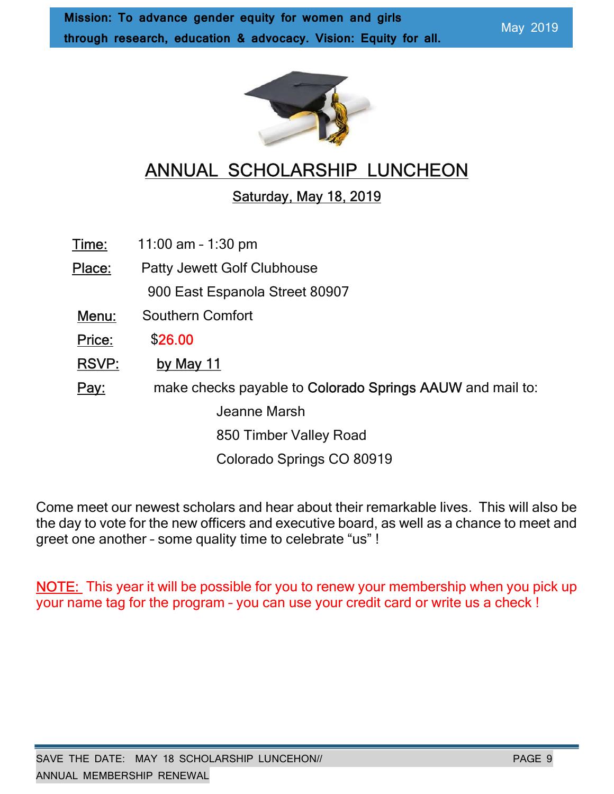

## ANNUAL SCHOLARSHIP LUNCHEON

### Saturday, May 18, 2019

Time: 11:00 am – 1:30 pm

 Place: Patty Jewett Golf Clubhouse 900 East Espanola Street 80907 Menu: Southern Comfort Price: \$26.00 RSVP: by May 11 Pay: make checks payable to Colorado Springs AAUW and mail to: Jeanne Marsh 850 Timber Valley Road

Colorado Springs CO 80919

Come meet our newest scholars and hear about their remarkable lives. This will also be the day to vote for the new officers and executive board, as well as a chance to meet and greet one another – some quality time to celebrate "us" !

NOTE: This year it will be possible for you to renew your membership when you pick up your name tag for the program – you can use your credit card or write us a check !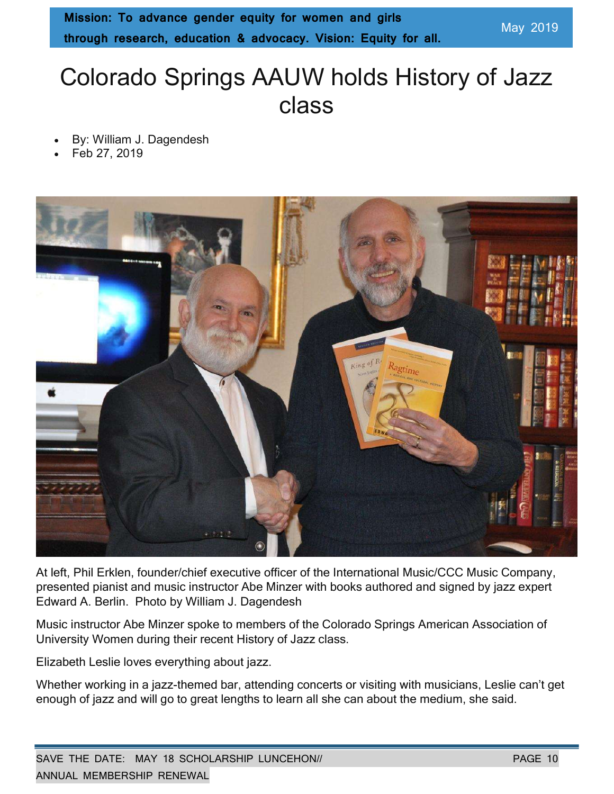# Colorado Springs AAUW holds History of Jazz class

- By: William J. Dagendesh
- Feb 27, 2019



At left, Phil Erklen, founder/chief executive officer of the International Music/CCC Music Company, presented pianist and music instructor Abe Minzer with books authored and signed by jazz expert Edward A. Berlin. Photo by William J. Dagendesh

Music instructor Abe Minzer spoke to members of the Colorado Springs American Association of University Women during their recent History of Jazz class.

Elizabeth Leslie loves everything about jazz.

Whether working in a jazz-themed bar, attending concerts or visiting with musicians, Leslie can't get enough of jazz and will go to great lengths to learn all she can about the medium, she said.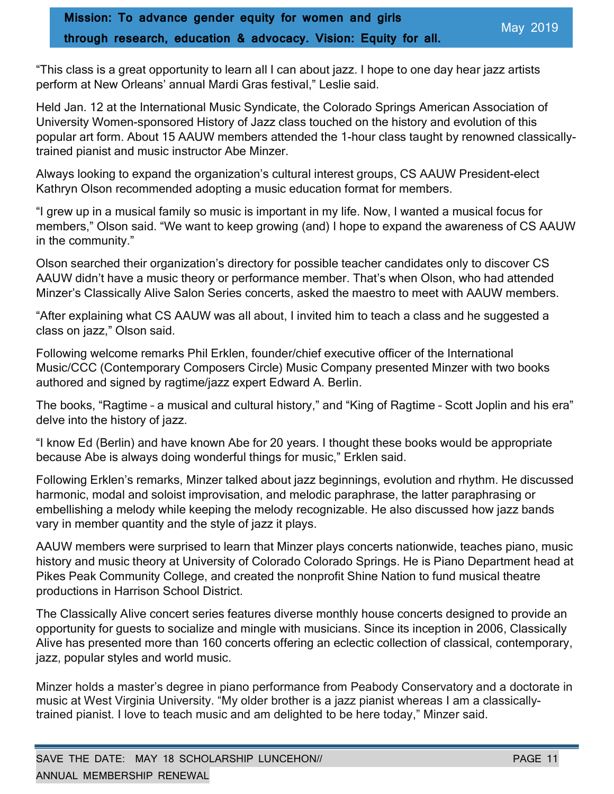"This class is a great opportunity to learn all I can about jazz. I hope to one day hear jazz artists perform at New Orleans' annual Mardi Gras festival," Leslie said.

Held Jan. 12 at the International Music Syndicate, the Colorado Springs American Association of University Women-sponsored History of Jazz class touched on the history and evolution of this popular art form. About 15 AAUW members attended the 1-hour class taught by renowned classicallytrained pianist and music instructor Abe Minzer.

Always looking to expand the organization's cultural interest groups, CS AAUW President-elect Kathryn Olson recommended adopting a music education format for members.

"I grew up in a musical family so music is important in my life. Now, I wanted a musical focus for members," Olson said. "We want to keep growing (and) I hope to expand the awareness of CS AAUW in the community."

Olson searched their organization's directory for possible teacher candidates only to discover CS AAUW didn't have a music theory or performance member. That's when Olson, who had attended Minzer's Classically Alive Salon Series concerts, asked the maestro to meet with AAUW members.

"After explaining what CS AAUW was all about, I invited him to teach a class and he suggested a class on jazz," Olson said.

Following welcome remarks Phil Erklen, founder/chief executive officer of the International Music/CCC (Contemporary Composers Circle) Music Company presented Minzer with two books authored and signed by ragtime/jazz expert Edward A. Berlin.

The books, "Ragtime – a musical and cultural history," and "King of Ragtime – Scott Joplin and his era" delve into the history of jazz.

"I know Ed (Berlin) and have known Abe for 20 years. I thought these books would be appropriate because Abe is always doing wonderful things for music," Erklen said.

Following Erklen's remarks, Minzer talked about jazz beginnings, evolution and rhythm. He discussed harmonic, modal and soloist improvisation, and melodic paraphrase, the latter paraphrasing or embellishing a melody while keeping the melody recognizable. He also discussed how jazz bands vary in member quantity and the style of jazz it plays.

AAUW members were surprised to learn that Minzer plays concerts nationwide, teaches piano, music history and music theory at University of Colorado Colorado Springs. He is Piano Department head at Pikes Peak Community College, and created the nonprofit Shine Nation to fund musical theatre productions in Harrison School District.

The Classically Alive concert series features diverse monthly house concerts designed to provide an opportunity for guests to socialize and mingle with musicians. Since its inception in 2006, Classically Alive has presented more than 160 concerts offering an eclectic collection of classical, contemporary, jazz, popular styles and world music.

Minzer holds a master's degree in piano performance from Peabody Conservatory and a doctorate in music at West Virginia University. "My older brother is a jazz pianist whereas I am a classicallytrained pianist. I love to teach music and am delighted to be here today," Minzer said.